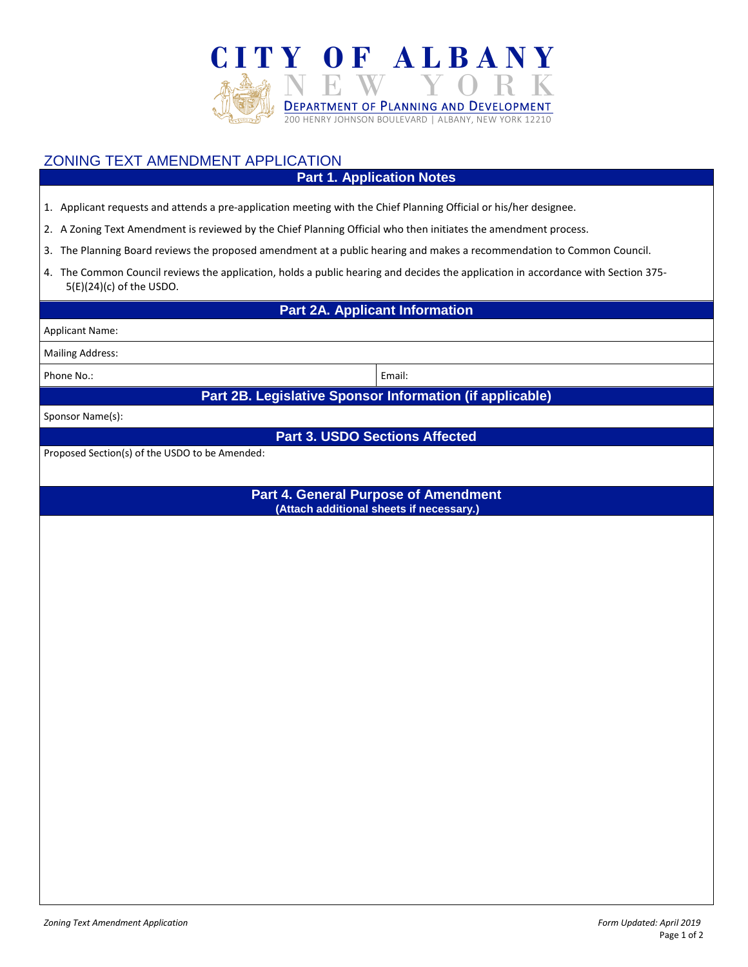

## ZONING TEXT AMENDMENT APPLICATION

## **Part 1. Application Notes**

- 1. Applicant requests and attends a pre-application meeting with the Chief Planning Official or his/her designee.
- 2. A Zoning Text Amendment is reviewed by the Chief Planning Official who then initiates the amendment process.
- 3. The Planning Board reviews the proposed amendment at a public hearing and makes a recommendation to Common Council.
- 4. The Common Council reviews the application, holds a public hearing and decides the application in accordance with Section 375- 5(E)(24)(c) of the USDO.

**Part 2A. Applicant Information**

Applicant Name:

Mailing Address:

Phone No.: **Email:** Email:

**Part 2B. Legislative Sponsor Information (if applicable)**

Sponsor Name(s):

**Part 3. USDO Sections Affected**

Proposed Section(s) of the USDO to be Amended:

**Part 4. General Purpose of Amendment (Attach additional sheets if necessary.)**